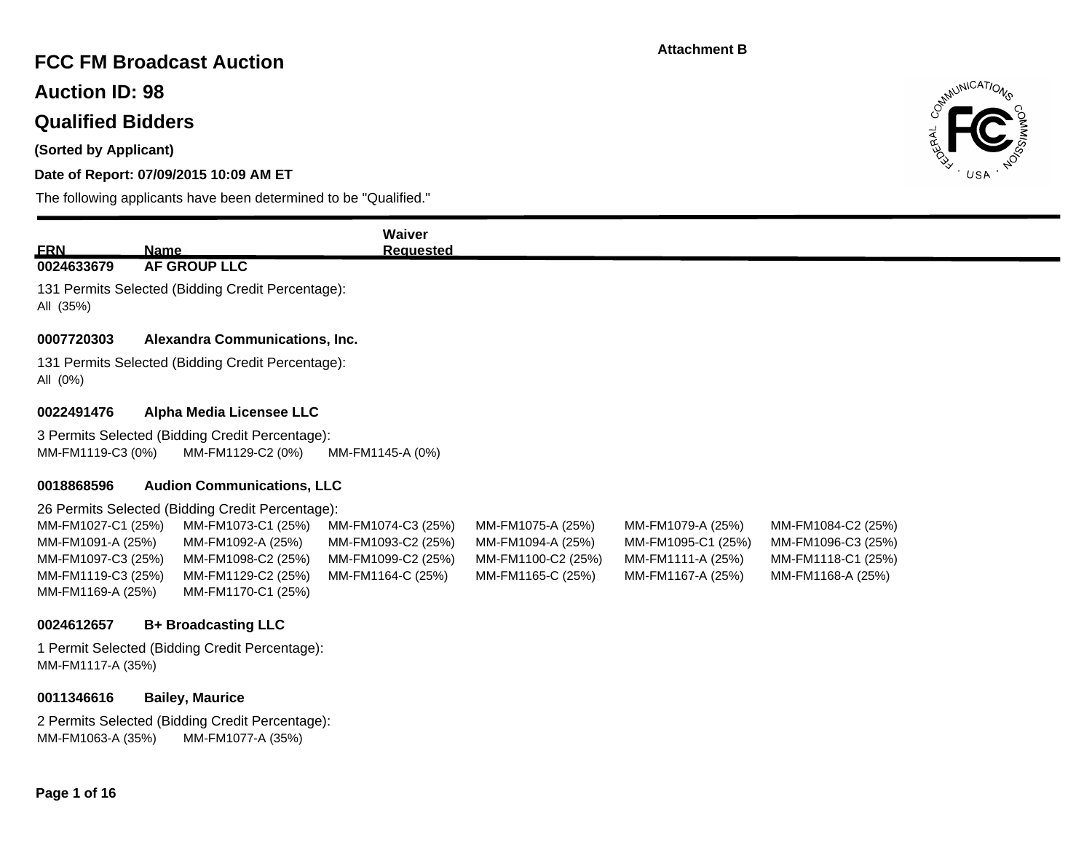## **FCC FM Broadcast Auction**

**Auction ID: 98**

### **Qualified Bidders**

**(Sorted by Applicant)**

### **Date of Report: 07/09/2015 10:09 AM ET**

The following applicants have been determined to be "Qualified."



| <b>ERN</b>         | <b>Name</b>                                       | Waiver<br><b>Requested</b> |                    |                    |                    |  |  |
|--------------------|---------------------------------------------------|----------------------------|--------------------|--------------------|--------------------|--|--|
| 0024633679         | AF GROUP LLC                                      |                            |                    |                    |                    |  |  |
| All (35%)          | 131 Permits Selected (Bidding Credit Percentage): |                            |                    |                    |                    |  |  |
| 0007720303         | Alexandra Communications, Inc.                    |                            |                    |                    |                    |  |  |
| All (0%)           | 131 Permits Selected (Bidding Credit Percentage): |                            |                    |                    |                    |  |  |
| 0022491476         | Alpha Media Licensee LLC                          |                            |                    |                    |                    |  |  |
|                    | 3 Permits Selected (Bidding Credit Percentage):   |                            |                    |                    |                    |  |  |
| MM-FM1119-C3 (0%)  | MM-FM1129-C2 (0%)                                 | MM-FM1145-A (0%)           |                    |                    |                    |  |  |
| 0018868596         | <b>Audion Communications, LLC</b>                 |                            |                    |                    |                    |  |  |
|                    | 26 Permits Selected (Bidding Credit Percentage):  |                            |                    |                    |                    |  |  |
| MM-FM1027-C1 (25%) | MM-FM1073-C1 (25%)                                | MM-FM1074-C3 (25%)         | MM-FM1075-A (25%)  | MM-FM1079-A (25%)  | MM-FM1084-C2 (25%) |  |  |
| MM-FM1091-A (25%)  | MM-FM1092-A (25%)                                 | MM-FM1093-C2 (25%)         | MM-FM1094-A (25%)  | MM-FM1095-C1 (25%) | MM-FM1096-C3 (25%) |  |  |
| MM-FM1097-C3 (25%) | MM-FM1098-C2 (25%)                                | MM-FM1099-C2 (25%)         | MM-FM1100-C2 (25%) | MM-FM1111-A (25%)  | MM-FM1118-C1 (25%) |  |  |
| MM-FM1119-C3 (25%) | MM-FM1129-C2 (25%)                                | MM-FM1164-C (25%)          | MM-FM1165-C (25%)  | MM-FM1167-A (25%)  | MM-FM1168-A (25%)  |  |  |
| MM-FM1169-A (25%)  | MM-FM1170-C1 (25%)                                |                            |                    |                    |                    |  |  |

#### **0024612657 B+ Broadcasting LLC**

1 Permit Selected (Bidding Credit Percentage): MM-FM1117-A (35%)

#### **0011346616 Bailey, Maurice**

2 Permits Selected (Bidding Credit Percentage): MM-FM1063-A (35%) MM-FM1077-A (35%)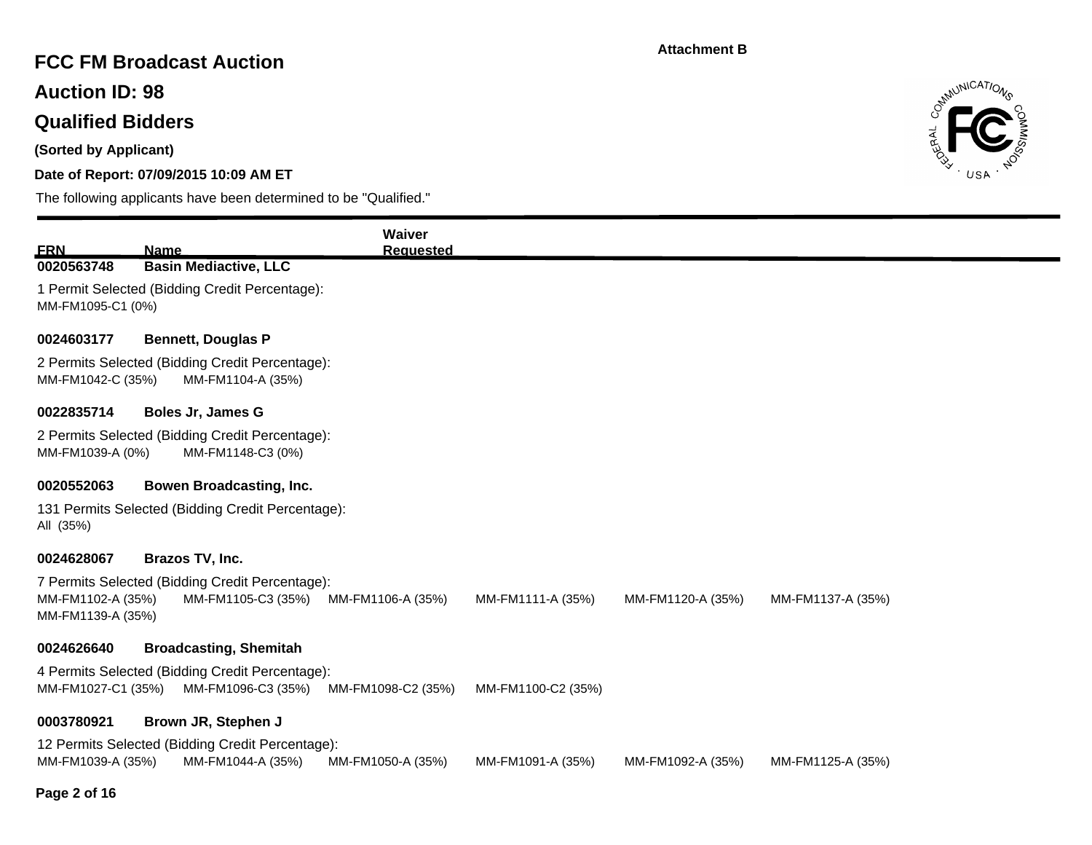# **FCC FM Broadcast Auction**

**Auction ID: 98**

# **Qualified Bidders**

**(Sorted by Applicant)**

### **Date of Report: 07/09/2015 10:09 AM ET**

The following applicants have been determined to be "Qualified."



| <b>ERN</b>                             | <b>Name</b>                                                           | Waiver<br><b>Requested</b> |                    |                   |                   |  |  |  |
|----------------------------------------|-----------------------------------------------------------------------|----------------------------|--------------------|-------------------|-------------------|--|--|--|
| 0020563748                             | <b>Basin Mediactive, LLC</b>                                          |                            |                    |                   |                   |  |  |  |
| MM-FM1095-C1 (0%)                      | 1 Permit Selected (Bidding Credit Percentage):                        |                            |                    |                   |                   |  |  |  |
| 0024603177                             | <b>Bennett, Douglas P</b>                                             |                            |                    |                   |                   |  |  |  |
| MM-FM1042-C (35%)                      | 2 Permits Selected (Bidding Credit Percentage):<br>MM-FM1104-A (35%)  |                            |                    |                   |                   |  |  |  |
| 0022835714                             | <b>Boles Jr, James G</b>                                              |                            |                    |                   |                   |  |  |  |
|                                        | 2 Permits Selected (Bidding Credit Percentage):                       |                            |                    |                   |                   |  |  |  |
| MM-FM1039-A (0%)                       | MM-FM1148-C3 (0%)                                                     |                            |                    |                   |                   |  |  |  |
| 0020552063                             | Bowen Broadcasting, Inc.                                              |                            |                    |                   |                   |  |  |  |
| All (35%)                              | 131 Permits Selected (Bidding Credit Percentage):                     |                            |                    |                   |                   |  |  |  |
| 0024628067                             | Brazos TV, Inc.                                                       |                            |                    |                   |                   |  |  |  |
| MM-FM1102-A (35%)<br>MM-FM1139-A (35%) | 7 Permits Selected (Bidding Credit Percentage):<br>MM-FM1105-C3 (35%) | MM-FM1106-A (35%)          | MM-FM1111-A (35%)  | MM-FM1120-A (35%) | MM-FM1137-A (35%) |  |  |  |
| 0024626640                             | <b>Broadcasting, Shemitah</b>                                         |                            |                    |                   |                   |  |  |  |
| MM-FM1027-C1 (35%)                     | 4 Permits Selected (Bidding Credit Percentage):<br>MM-FM1096-C3 (35%) | MM-FM1098-C2 (35%)         | MM-FM1100-C2 (35%) |                   |                   |  |  |  |
| 0003780921                             | Brown JR, Stephen J                                                   |                            |                    |                   |                   |  |  |  |
|                                        | 12 Permits Selected (Bidding Credit Percentage):                      |                            |                    |                   |                   |  |  |  |
| MM-FM1039-A (35%)                      | MM-FM1044-A (35%)                                                     | MM-FM1050-A (35%)          | MM-FM1091-A (35%)  | MM-FM1092-A (35%) | MM-FM1125-A (35%) |  |  |  |

### **Page 2 of 16**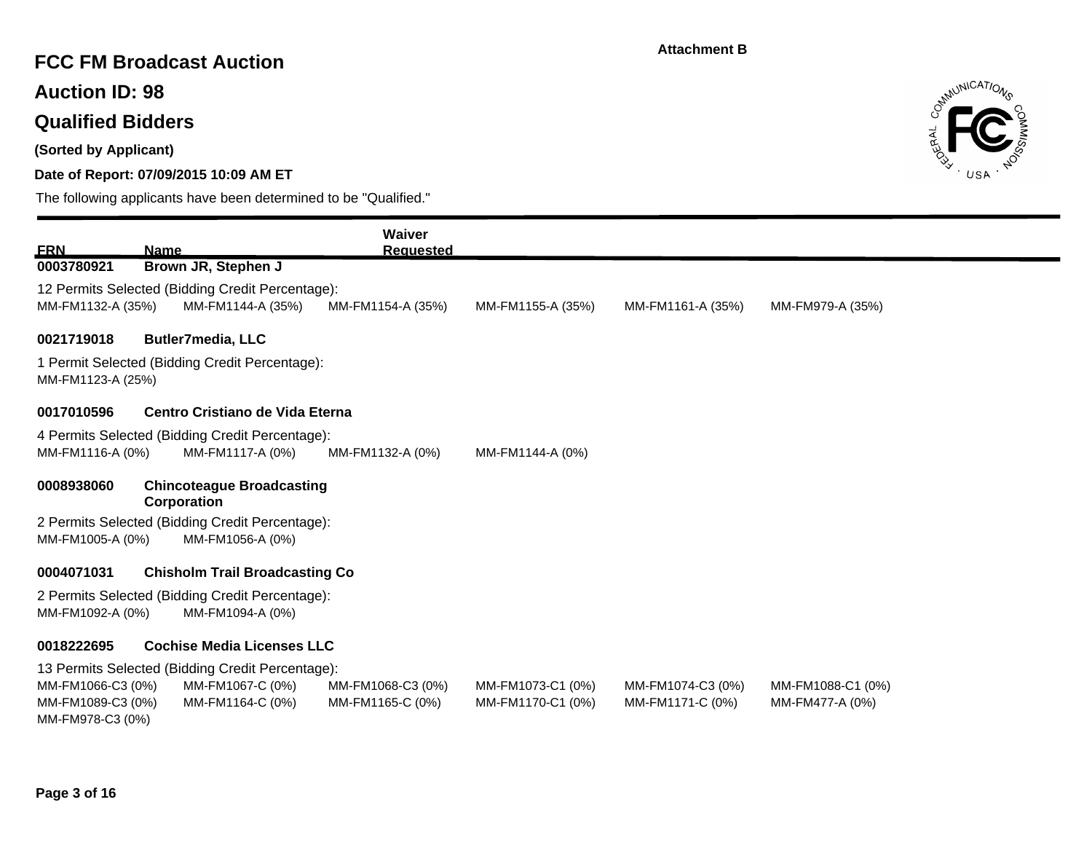## **FCC FM Broadcast Auction**

**Auction ID: 98**

# **Qualified Bidders**

**(Sorted by Applicant)**

### **Date of Report: 07/09/2015 10:09 AM ET**



| <b>ERN</b>                            | <b>Name</b>                                                                             | Waiver<br><b>Requested</b> |                   |                   |                   |  |  |  |
|---------------------------------------|-----------------------------------------------------------------------------------------|----------------------------|-------------------|-------------------|-------------------|--|--|--|
| 0003780921                            | Brown JR, Stephen J                                                                     |                            |                   |                   |                   |  |  |  |
| MM-FM1132-A (35%)                     | 12 Permits Selected (Bidding Credit Percentage):<br>MM-FM1144-A (35%)                   | MM-FM1154-A (35%)          | MM-FM1155-A (35%) | MM-FM1161-A (35%) | MM-FM979-A (35%)  |  |  |  |
| 0021719018                            | <b>Butler7media, LLC</b>                                                                |                            |                   |                   |                   |  |  |  |
|                                       | 1 Permit Selected (Bidding Credit Percentage):<br>MM-FM1123-A (25%)                     |                            |                   |                   |                   |  |  |  |
| 0017010596                            | Centro Cristiano de Vida Eterna                                                         |                            |                   |                   |                   |  |  |  |
|                                       | 4 Permits Selected (Bidding Credit Percentage):                                         |                            |                   |                   |                   |  |  |  |
| MM-FM1116-A (0%)                      | MM-FM1117-A (0%)                                                                        | MM-FM1132-A (0%)           | MM-FM1144-A (0%)  |                   |                   |  |  |  |
| 0008938060                            | <b>Chincoteague Broadcasting</b><br>Corporation                                         |                            |                   |                   |                   |  |  |  |
| MM-FM1005-A (0%)                      | 2 Permits Selected (Bidding Credit Percentage):<br>MM-FM1056-A (0%)                     |                            |                   |                   |                   |  |  |  |
| 0004071031                            | <b>Chisholm Trail Broadcasting Co</b>                                                   |                            |                   |                   |                   |  |  |  |
|                                       | 2 Permits Selected (Bidding Credit Percentage):<br>MM-FM1092-A (0%)<br>MM-FM1094-A (0%) |                            |                   |                   |                   |  |  |  |
| 0018222695                            | <b>Cochise Media Licenses LLC</b>                                                       |                            |                   |                   |                   |  |  |  |
|                                       | 13 Permits Selected (Bidding Credit Percentage):                                        |                            |                   |                   |                   |  |  |  |
| MM-FM1066-C3 (0%)                     | MM-FM1067-C (0%)                                                                        | MM-FM1068-C3 (0%)          | MM-FM1073-C1 (0%) | MM-FM1074-C3 (0%) | MM-FM1088-C1 (0%) |  |  |  |
| MM-FM1089-C3 (0%)<br>MM-FM978-C3 (0%) | MM-FM1164-C (0%)                                                                        | MM-FM1165-C (0%)           | MM-FM1170-C1 (0%) | MM-FM1171-C (0%)  | MM-FM477-A (0%)   |  |  |  |
|                                       |                                                                                         |                            |                   |                   |                   |  |  |  |
|                                       |                                                                                         |                            |                   |                   |                   |  |  |  |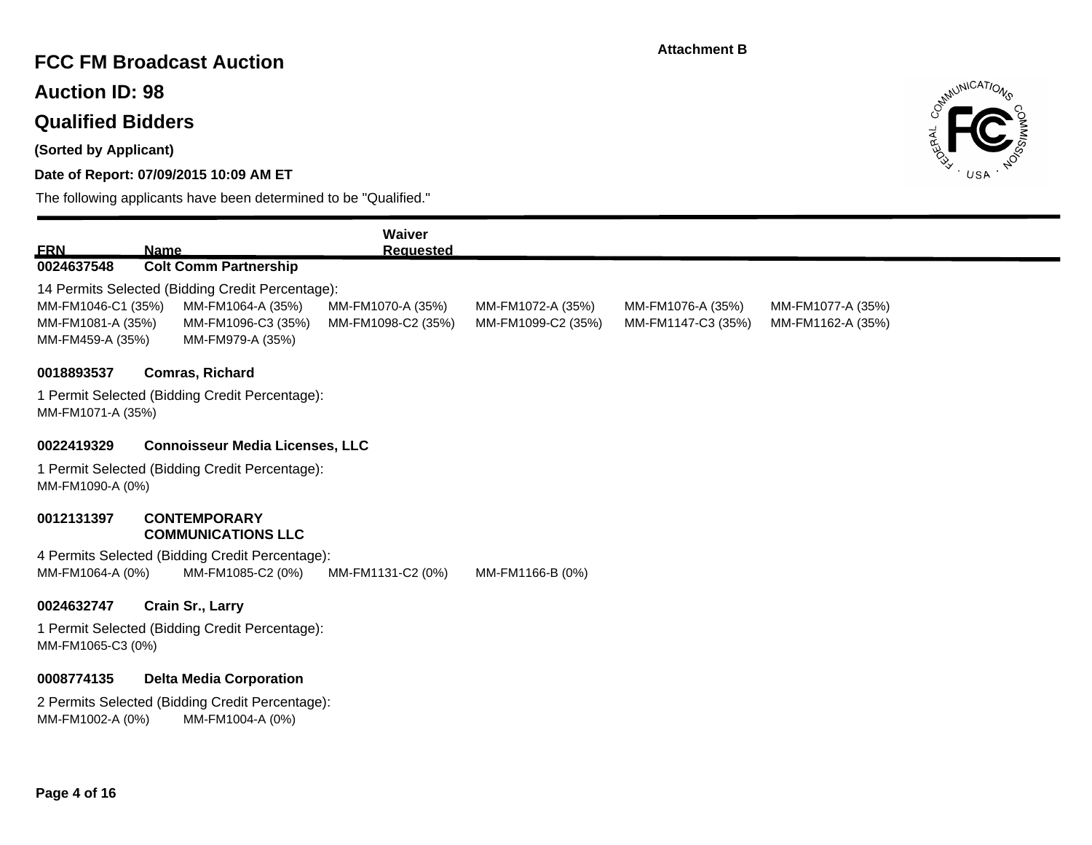# **FCC FM Broadcast Auction**

**Auction ID: 98**

# **Qualified Bidders**

**(Sorted by Applicant)**

### **Date of Report: 07/09/2015 10:09 AM ET**

The following applicants have been determined to be "Qualified."



|                                         |             |                                                                      | <b>Waiver</b>                           |                                         |                                         |                                        |
|-----------------------------------------|-------------|----------------------------------------------------------------------|-----------------------------------------|-----------------------------------------|-----------------------------------------|----------------------------------------|
| <u>ERN</u>                              | <b>Name</b> |                                                                      | <b>Requested</b>                        |                                         |                                         |                                        |
| 0024637548                              |             | <b>Colt Comm Partnership</b>                                         |                                         |                                         |                                         |                                        |
|                                         |             | 14 Permits Selected (Bidding Credit Percentage):                     |                                         |                                         |                                         |                                        |
| MM-FM1046-C1 (35%)<br>MM-FM1081-A (35%) |             | MM-FM1064-A (35%)<br>MM-FM1096-C3 (35%)                              | MM-FM1070-A (35%)<br>MM-FM1098-C2 (35%) | MM-FM1072-A (35%)<br>MM-FM1099-C2 (35%) | MM-FM1076-A (35%)<br>MM-FM1147-C3 (35%) | MM-FM1077-A (35%)<br>MM-FM1162-A (35%) |
| MM-FM459-A (35%)                        |             | MM-FM979-A (35%)                                                     |                                         |                                         |                                         |                                        |
| 0018893537                              |             | Comras, Richard                                                      |                                         |                                         |                                         |                                        |
|                                         |             | 1 Permit Selected (Bidding Credit Percentage):                       |                                         |                                         |                                         |                                        |
| MM-FM1071-A (35%)                       |             |                                                                      |                                         |                                         |                                         |                                        |
| 0022419329                              |             | <b>Connoisseur Media Licenses, LLC</b>                               |                                         |                                         |                                         |                                        |
|                                         |             | 1 Permit Selected (Bidding Credit Percentage):                       |                                         |                                         |                                         |                                        |
| MM-FM1090-A (0%)                        |             |                                                                      |                                         |                                         |                                         |                                        |
| 0012131397                              |             | <b>CONTEMPORARY</b>                                                  |                                         |                                         |                                         |                                        |
|                                         |             | <b>COMMUNICATIONS LLC</b>                                            |                                         |                                         |                                         |                                        |
| MM-FM1064-A (0%)                        |             | 4 Permits Selected (Bidding Credit Percentage):<br>MM-FM1085-C2 (0%) | MM-FM1131-C2 (0%)                       | MM-FM1166-B (0%)                        |                                         |                                        |
|                                         |             |                                                                      |                                         |                                         |                                         |                                        |
| 0024632747                              |             | Crain Sr., Larry                                                     |                                         |                                         |                                         |                                        |
| MM-FM1065-C3 (0%)                       |             | 1 Permit Selected (Bidding Credit Percentage):                       |                                         |                                         |                                         |                                        |
| 0008774135                              |             | <b>Delta Media Corporation</b>                                       |                                         |                                         |                                         |                                        |

2 Permits Selected (Bidding Credit Percentage): MM-FM1002-A (0%) MM-FM1004-A (0%)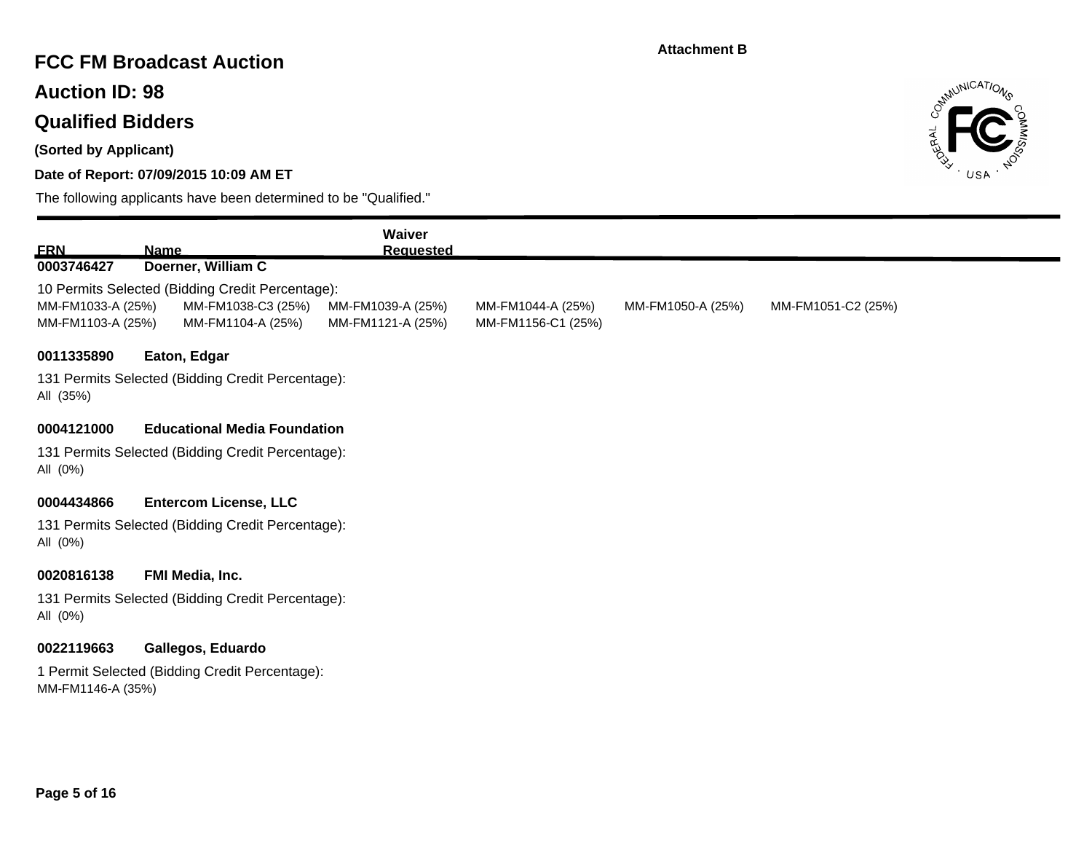## **FCC FM Broadcast Auction**

**Auction ID: 98**

# **Qualified Bidders**

**(Sorted by Applicant)**

### **Date of Report: 07/09/2015 10:09 AM ET**



| <b>FRN</b>                             | <b>Name</b>                                                                                 | Waiver<br><b>Requested</b>             |                                         |                   |                    |
|----------------------------------------|---------------------------------------------------------------------------------------------|----------------------------------------|-----------------------------------------|-------------------|--------------------|
| 0003746427                             | Doerner, William C                                                                          |                                        |                                         |                   |                    |
| MM-FM1033-A (25%)<br>MM-FM1103-A (25%) | 10 Permits Selected (Bidding Credit Percentage):<br>MM-FM1038-C3 (25%)<br>MM-FM1104-A (25%) | MM-FM1039-A (25%)<br>MM-FM1121-A (25%) | MM-FM1044-A (25%)<br>MM-FM1156-C1 (25%) | MM-FM1050-A (25%) | MM-FM1051-C2 (25%) |
| 0011335890                             | Eaton, Edgar                                                                                |                                        |                                         |                   |                    |
| All (35%)                              | 131 Permits Selected (Bidding Credit Percentage):                                           |                                        |                                         |                   |                    |
| 0004121000                             | <b>Educational Media Foundation</b>                                                         |                                        |                                         |                   |                    |
| All (0%)                               | 131 Permits Selected (Bidding Credit Percentage):                                           |                                        |                                         |                   |                    |
| 0004434866                             | <b>Entercom License, LLC</b>                                                                |                                        |                                         |                   |                    |
| All (0%)                               | 131 Permits Selected (Bidding Credit Percentage):                                           |                                        |                                         |                   |                    |
| 0020816138                             | FMI Media, Inc.                                                                             |                                        |                                         |                   |                    |
| All (0%)                               | 131 Permits Selected (Bidding Credit Percentage):                                           |                                        |                                         |                   |                    |
| 0022119663                             | Gallegos, Eduardo                                                                           |                                        |                                         |                   |                    |
| MM-FM1146-A (35%)                      | 1 Permit Selected (Bidding Credit Percentage):                                              |                                        |                                         |                   |                    |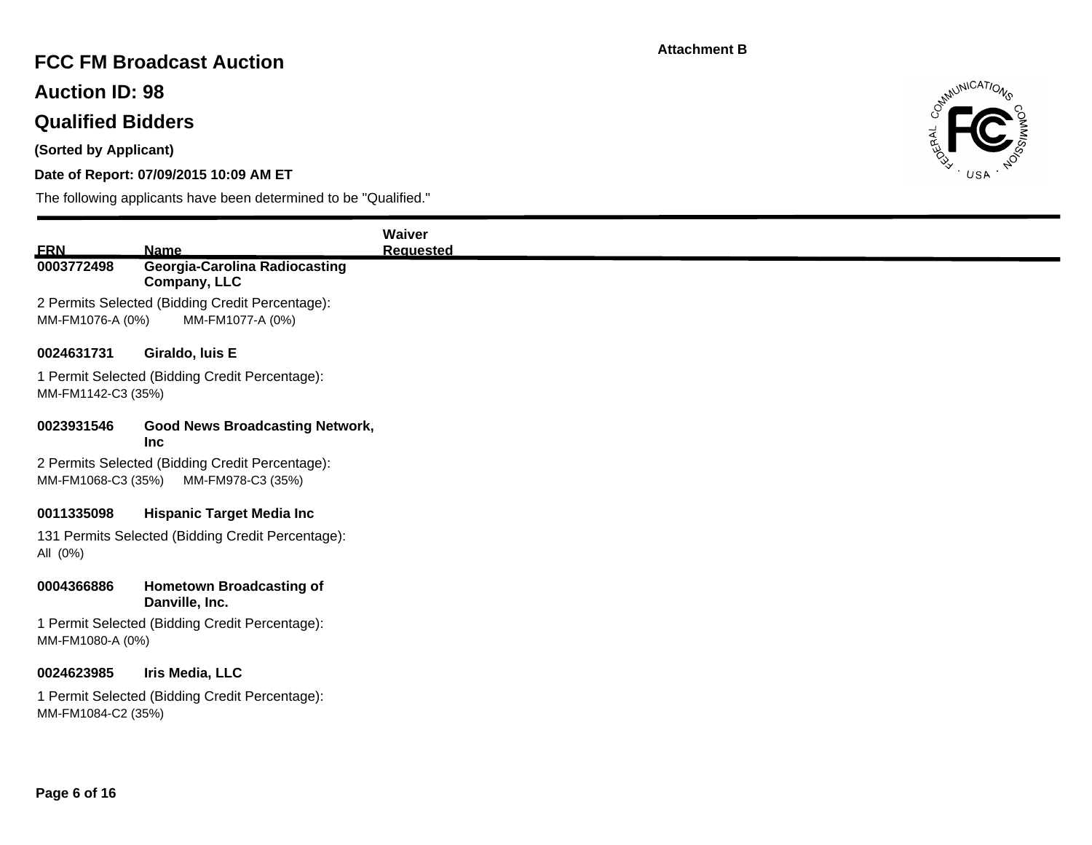# **FCC FM Broadcast Auction**

**Auction ID: 98**

# **Qualified Bidders**

**(Sorted by Applicant)**

### **Date of Report: 07/09/2015 10:09 AM ET**



|                    |                                                                     | Waiver           |
|--------------------|---------------------------------------------------------------------|------------------|
| <b>ERN</b>         | <b>Name</b>                                                         | <b>Requested</b> |
| 0003772498         | <b>Georgia-Carolina Radiocasting</b>                                |                  |
|                    | Company, LLC                                                        |                  |
| MM-FM1076-A (0%)   | 2 Permits Selected (Bidding Credit Percentage):<br>MM-FM1077-A (0%) |                  |
|                    |                                                                     |                  |
| 0024631731         | Giraldo, luis E                                                     |                  |
| MM-FM1142-C3 (35%) | 1 Permit Selected (Bidding Credit Percentage):                      |                  |
| 0023931546         | <b>Good News Broadcasting Network,</b><br>Inc                       |                  |
|                    | 2 Permits Selected (Bidding Credit Percentage):                     |                  |
| MM-FM1068-C3 (35%) | MM-FM978-C3 (35%)                                                   |                  |
| 0011335098         | <b>Hispanic Target Media Inc</b>                                    |                  |
|                    | 131 Permits Selected (Bidding Credit Percentage):                   |                  |
| All (0%)           |                                                                     |                  |
| 0004366886         | <b>Hometown Broadcasting of</b><br>Danville, Inc.                   |                  |
| MM-FM1080-A (0%)   | 1 Permit Selected (Bidding Credit Percentage):                      |                  |
| 0024623985         | Iris Media, LLC                                                     |                  |
|                    | 1 Permit Selected (Bidding Credit Percentage):                      |                  |
| MM-FM1084-C2 (35%) |                                                                     |                  |
|                    |                                                                     |                  |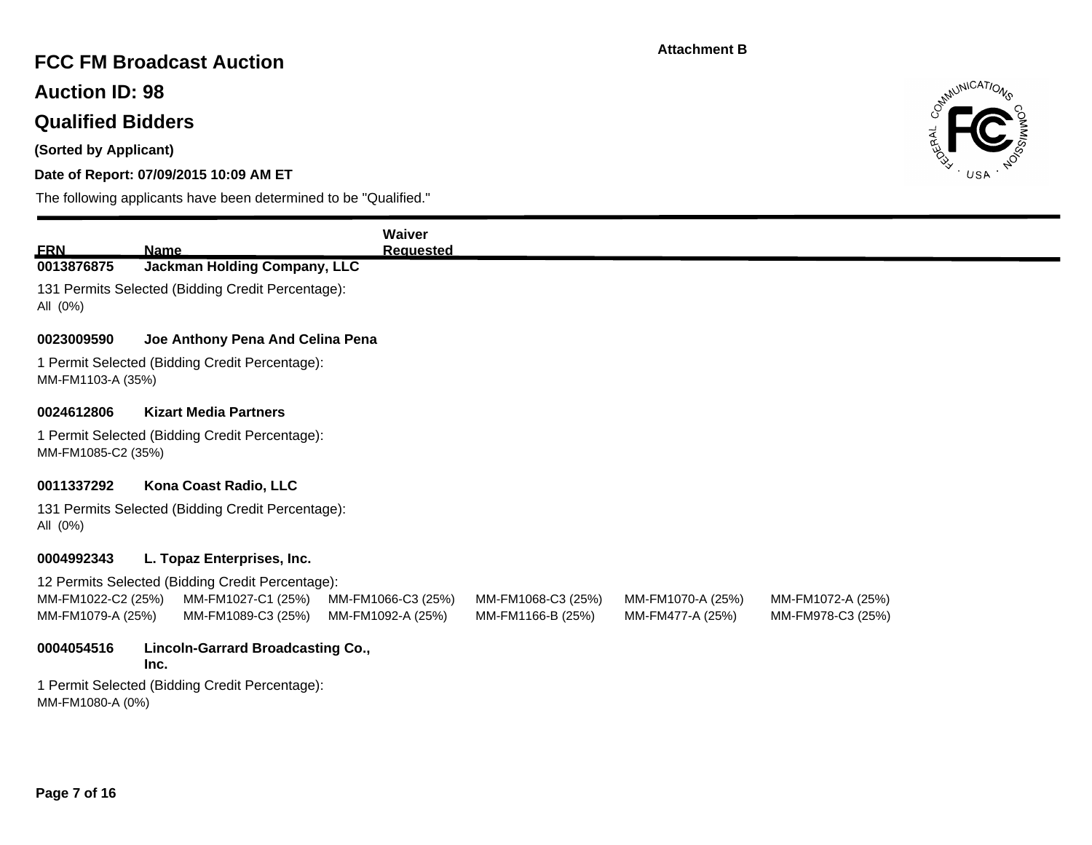## **FCC FM Broadcast Auction**

**Auction ID: 98**

# **Qualified Bidders**

**(Sorted by Applicant)**

### **Date of Report: 07/09/2015 10:09 AM ET**



| <b>ERN</b>                              | <b>Name</b>                                       | <b>Waiver</b><br><b>Requested</b>       |                                         |                                       |                                        |
|-----------------------------------------|---------------------------------------------------|-----------------------------------------|-----------------------------------------|---------------------------------------|----------------------------------------|
| 0013876875                              | <b>Jackman Holding Company, LLC</b>               |                                         |                                         |                                       |                                        |
| All (0%)                                | 131 Permits Selected (Bidding Credit Percentage): |                                         |                                         |                                       |                                        |
| 0023009590                              | Joe Anthony Pena And Celina Pena                  |                                         |                                         |                                       |                                        |
| MM-FM1103-A (35%)                       | 1 Permit Selected (Bidding Credit Percentage):    |                                         |                                         |                                       |                                        |
| 0024612806                              | <b>Kizart Media Partners</b>                      |                                         |                                         |                                       |                                        |
| MM-FM1085-C2 (35%)                      | 1 Permit Selected (Bidding Credit Percentage):    |                                         |                                         |                                       |                                        |
| 0011337292                              | Kona Coast Radio, LLC                             |                                         |                                         |                                       |                                        |
| All (0%)                                | 131 Permits Selected (Bidding Credit Percentage): |                                         |                                         |                                       |                                        |
| 0004992343                              | L. Topaz Enterprises, Inc.                        |                                         |                                         |                                       |                                        |
|                                         | 12 Permits Selected (Bidding Credit Percentage):  |                                         |                                         |                                       |                                        |
| MM-FM1022-C2 (25%)<br>MM-FM1079-A (25%) | MM-FM1027-C1 (25%)<br>MM-FM1089-C3 (25%)          | MM-FM1066-C3 (25%)<br>MM-FM1092-A (25%) | MM-FM1068-C3 (25%)<br>MM-FM1166-B (25%) | MM-FM1070-A (25%)<br>MM-FM477-A (25%) | MM-FM1072-A (25%)<br>MM-FM978-C3 (25%) |
| 0004054516                              | <b>Lincoln-Garrard Broadcasting Co.,</b><br>Inc.  |                                         |                                         |                                       |                                        |
| MM-FM1080-A (0%)                        | 1 Permit Selected (Bidding Credit Percentage):    |                                         |                                         |                                       |                                        |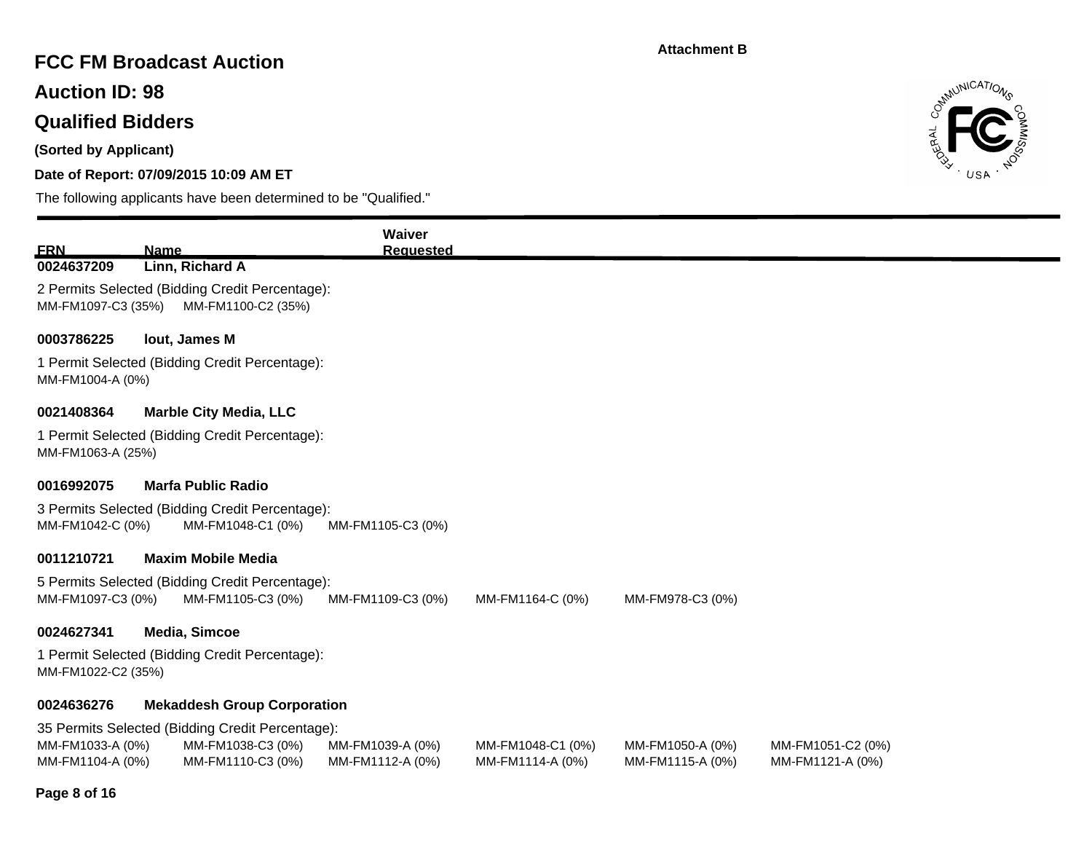# **FCC FM Broadcast Auction**

**Auction ID: 98**

# **Qualified Bidders**

**(Sorted by Applicant)**

### **Date of Report: 07/09/2015 10:09 AM ET**



| <b>ERN</b>                                                                                                 | <b>Name</b>                                                                     | Waiver<br><b>Requested</b>           |                                       |                                      |                                       |  |  |
|------------------------------------------------------------------------------------------------------------|---------------------------------------------------------------------------------|--------------------------------------|---------------------------------------|--------------------------------------|---------------------------------------|--|--|
| 0024637209                                                                                                 | Linn, Richard A                                                                 |                                      |                                       |                                      |                                       |  |  |
| MM-FM1097-C3 (35%)                                                                                         | 2 Permits Selected (Bidding Credit Percentage):<br>MM-FM1100-C2 (35%)           |                                      |                                       |                                      |                                       |  |  |
| 0003786225                                                                                                 | lout, James M                                                                   |                                      |                                       |                                      |                                       |  |  |
| MM-FM1004-A (0%)                                                                                           | 1 Permit Selected (Bidding Credit Percentage):                                  |                                      |                                       |                                      |                                       |  |  |
| 0021408364<br>MM-FM1063-A (25%)                                                                            | <b>Marble City Media, LLC</b><br>1 Permit Selected (Bidding Credit Percentage): |                                      |                                       |                                      |                                       |  |  |
| 0016992075                                                                                                 | <b>Marfa Public Radio</b>                                                       |                                      |                                       |                                      |                                       |  |  |
| MM-FM1042-C (0%)                                                                                           | 3 Permits Selected (Bidding Credit Percentage):<br>MM-FM1048-C1 (0%)            | MM-FM1105-C3 (0%)                    |                                       |                                      |                                       |  |  |
| 0011210721                                                                                                 | <b>Maxim Mobile Media</b>                                                       |                                      |                                       |                                      |                                       |  |  |
| MM-FM1097-C3 (0%)                                                                                          | 5 Permits Selected (Bidding Credit Percentage):<br>MM-FM1105-C3 (0%)            | MM-FM1109-C3 (0%)                    | MM-FM1164-C (0%)                      | MM-FM978-C3 (0%)                     |                                       |  |  |
| 0024627341<br><b>Media, Simcoe</b><br>1 Permit Selected (Bidding Credit Percentage):<br>MM-FM1022-C2 (35%) |                                                                                 |                                      |                                       |                                      |                                       |  |  |
| 0024636276                                                                                                 | <b>Mekaddesh Group Corporation</b>                                              |                                      |                                       |                                      |                                       |  |  |
|                                                                                                            | 35 Permits Selected (Bidding Credit Percentage):                                |                                      |                                       |                                      |                                       |  |  |
| MM-FM1033-A (0%)<br>MM-FM1104-A (0%)                                                                       | MM-FM1038-C3 (0%)<br>MM-FM1110-C3 (0%)                                          | MM-FM1039-A (0%)<br>MM-FM1112-A (0%) | MM-FM1048-C1 (0%)<br>MM-FM1114-A (0%) | MM-FM1050-A (0%)<br>MM-FM1115-A (0%) | MM-FM1051-C2 (0%)<br>MM-FM1121-A (0%) |  |  |
| Page 8 of 16                                                                                               |                                                                                 |                                      |                                       |                                      |                                       |  |  |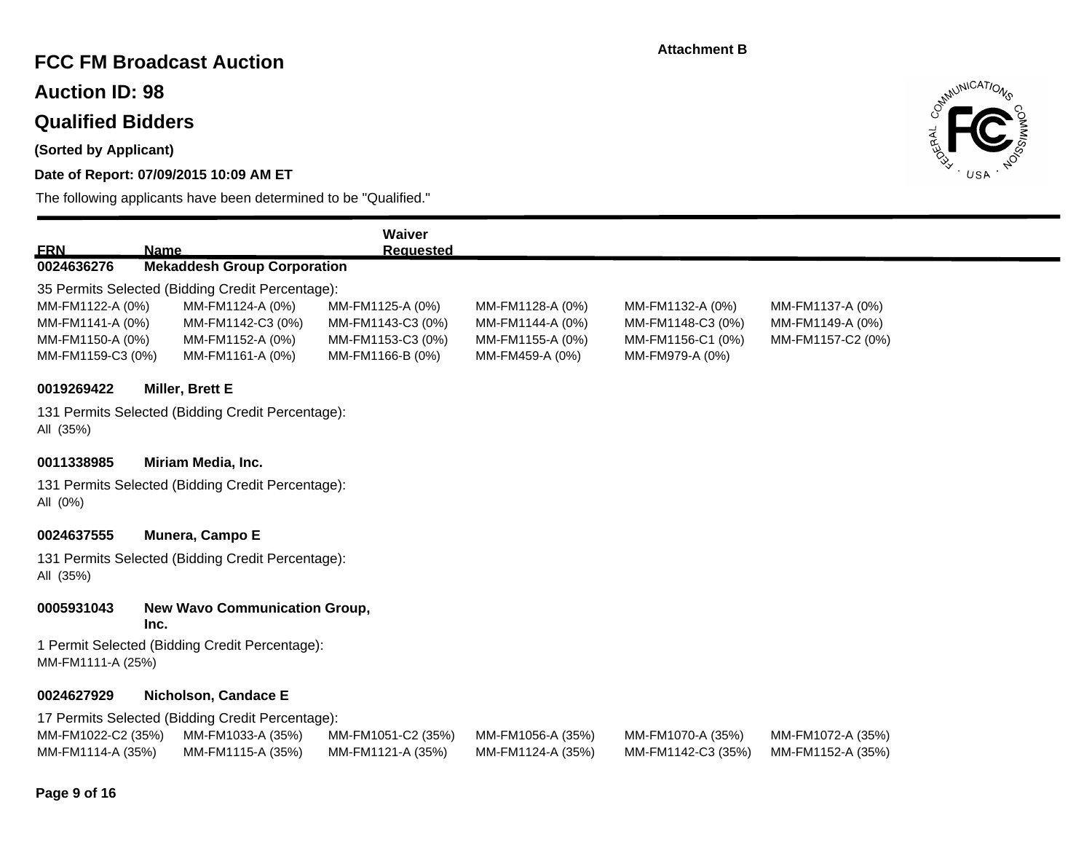# **FCC FM Broadcast Auction**

**Auction ID: 98**

### **Qualified Bidders**

**(Sorted by Applicant)**

### **Date of Report: 07/09/2015 10:09 AM ET**

The following applicants have been determined to be "Qualified."



| <b>ERN</b>                                               | <b>Name</b>                                                                 | Waiver<br><b>Requested</b>                                 |                                                          |                                                            |                                                           |
|----------------------------------------------------------|-----------------------------------------------------------------------------|------------------------------------------------------------|----------------------------------------------------------|------------------------------------------------------------|-----------------------------------------------------------|
| 0024636276                                               | <b>Mekaddesh Group Corporation</b>                                          |                                                            |                                                          |                                                            |                                                           |
|                                                          | 35 Permits Selected (Bidding Credit Percentage):                            |                                                            |                                                          |                                                            |                                                           |
| MM-FM1122-A (0%)<br>MM-FM1141-A (0%)<br>MM-FM1150-A (0%) | MM-FM1124-A (0%)<br>MM-FM1142-C3 (0%)<br>MM-FM1152-A (0%)                   | MM-FM1125-A (0%)<br>MM-FM1143-C3 (0%)<br>MM-FM1153-C3 (0%) | MM-FM1128-A (0%)<br>MM-FM1144-A (0%)<br>MM-FM1155-A (0%) | MM-FM1132-A (0%)<br>MM-FM1148-C3 (0%)<br>MM-FM1156-C1 (0%) | MM-FM1137-A (0%)<br>MM-FM1149-A (0%)<br>MM-FM1157-C2 (0%) |
| MM-FM1159-C3 (0%)                                        | MM-FM1161-A (0%)                                                            | MM-FM1166-B (0%)                                           | MM-FM459-A (0%)                                          | MM-FM979-A (0%)                                            |                                                           |
| 0019269422<br>All (35%)                                  | <b>Miller, Brett E</b><br>131 Permits Selected (Bidding Credit Percentage): |                                                            |                                                          |                                                            |                                                           |
| 0011338985                                               | Miriam Media, Inc.                                                          |                                                            |                                                          |                                                            |                                                           |
| All (0%)                                                 | 131 Permits Selected (Bidding Credit Percentage):                           |                                                            |                                                          |                                                            |                                                           |
| 0024637555                                               | Munera, Campo E                                                             |                                                            |                                                          |                                                            |                                                           |
| All (35%)                                                | 131 Permits Selected (Bidding Credit Percentage):                           |                                                            |                                                          |                                                            |                                                           |
| 0005931043                                               | <b>New Wavo Communication Group,</b><br>Inc.                                |                                                            |                                                          |                                                            |                                                           |
| MM-FM1111-A (25%)                                        | 1 Permit Selected (Bidding Credit Percentage):                              |                                                            |                                                          |                                                            |                                                           |
| 0024627929                                               | Nicholson, Candace E                                                        |                                                            |                                                          |                                                            |                                                           |

17 Permits Selected (Bidding Credit Percentage):

| MM-FM1022-C2 (35%) MM-FM1033-A (35%) |                   | MM-FM1051-C2 (35%) | MM-FM1056-A (35%) | MM-FM1070-A (35%)                    | MM-FM1072-A (35%) |
|--------------------------------------|-------------------|--------------------|-------------------|--------------------------------------|-------------------|
| MM-FM1114-A (35%)                    | MM-FM1115-A (35%) | MM-FM1121-A (35%)  | MM-FM1124-A (35%) | MM-FM1142-C3 (35%) MM-FM1152-A (35%) |                   |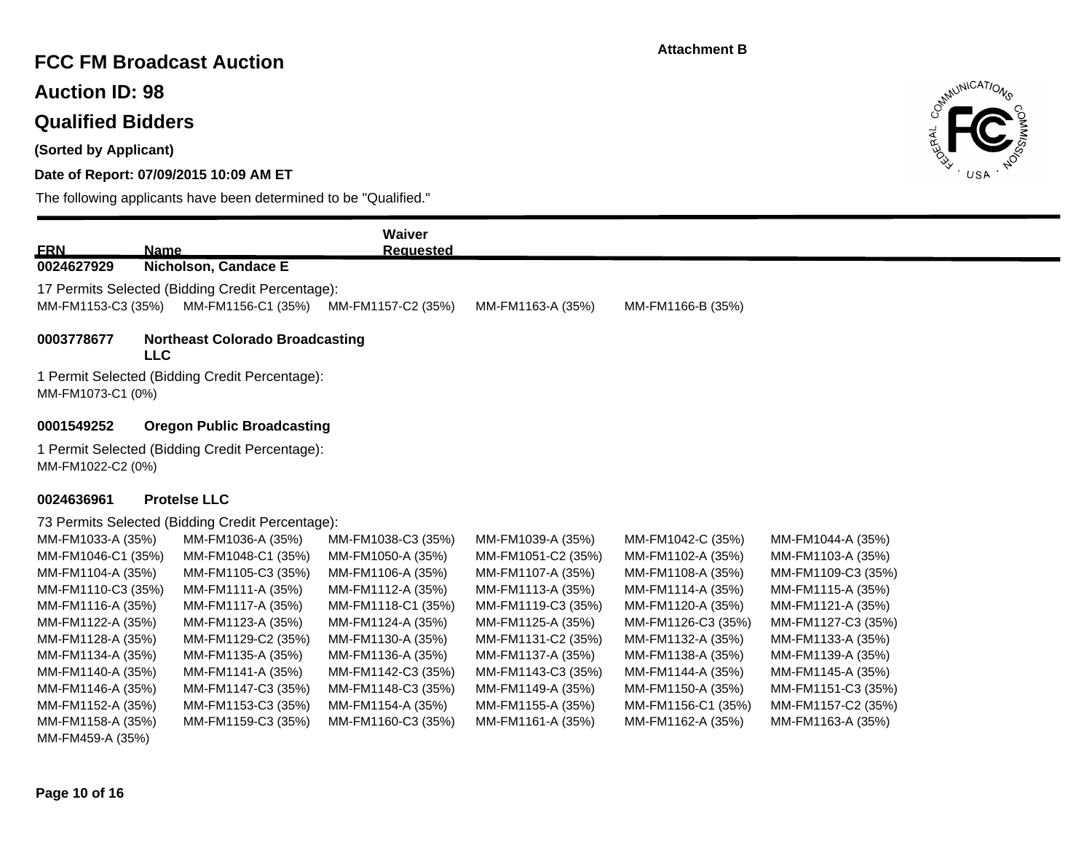## **FCC FM Broadcast Auction**

**Auction ID: 98**

# **Qualified Bidders**

**(Sorted by Applicant)**

### **Date of Report: 07/09/2015 10:09 AM ET**

The following applicants have been determined to be "Qualified."



|                    |                                                                     | Waiver            |                   |  |  |  |  |
|--------------------|---------------------------------------------------------------------|-------------------|-------------------|--|--|--|--|
| <u>ERN</u>         | <b>Name</b>                                                         | <b>Requested</b>  |                   |  |  |  |  |
| 0024627929         | Nicholson, Candace E                                                |                   |                   |  |  |  |  |
|                    | 17 Permits Selected (Bidding Credit Percentage):                    |                   |                   |  |  |  |  |
| MM-FM1153-C3 (35%) | MM-FM1156-C1 (35%)<br>MM-FM1157-C2 (35%)                            | MM-FM1163-A (35%) | MM-FM1166-B (35%) |  |  |  |  |
| 0003778677         | <b>Northeast Colorado Broadcasting</b><br><b>LLC</b>                |                   |                   |  |  |  |  |
|                    | 1 Permit Selected (Bidding Credit Percentage):<br>MM-FM1073-C1 (0%) |                   |                   |  |  |  |  |
| 0001549252         | <b>Oregon Public Broadcasting</b>                                   |                   |                   |  |  |  |  |
| MM-FM1022-C2 (0%)  | 1 Permit Selected (Bidding Credit Percentage):                      |                   |                   |  |  |  |  |

#### **0024636961 Protelse LLC**

73 Permits Selected (Bidding Credit Percentage):

| MM-FM1036-A (35%)  | MM-FM1038-C3 (35%) | MM-FM1039-A (35%)  | MM-FM1042-C (35%)  | MM-FM1044-A (35%)  |
|--------------------|--------------------|--------------------|--------------------|--------------------|
| MM-FM1048-C1 (35%) | MM-FM1050-A (35%)  | MM-FM1051-C2 (35%) | MM-FM1102-A (35%)  | MM-FM1103-A (35%)  |
| MM-FM1105-C3 (35%) | MM-FM1106-A (35%)  | MM-FM1107-A (35%)  | MM-FM1108-A (35%)  | MM-FM1109-C3 (35%) |
| MM-FM1111-A (35%)  | MM-FM1112-A (35%)  | MM-FM1113-A (35%)  | MM-FM1114-A (35%)  | MM-FM1115-A (35%)  |
| MM-FM1117-A (35%)  | MM-FM1118-C1 (35%) | MM-FM1119-C3 (35%) | MM-FM1120-A (35%)  | MM-FM1121-A (35%)  |
| MM-FM1123-A (35%)  | MM-FM1124-A (35%)  | MM-FM1125-A (35%)  | MM-FM1126-C3 (35%) | MM-FM1127-C3 (35%) |
| MM-FM1129-C2 (35%) | MM-FM1130-A (35%)  | MM-FM1131-C2 (35%) | MM-FM1132-A (35%)  | MM-FM1133-A (35%)  |
| MM-FM1135-A (35%)  | MM-FM1136-A (35%)  | MM-FM1137-A (35%)  | MM-FM1138-A (35%)  | MM-FM1139-A (35%)  |
| MM-FM1141-A (35%)  | MM-FM1142-C3 (35%) | MM-FM1143-C3 (35%) | MM-FM1144-A (35%)  | MM-FM1145-A (35%)  |
| MM-FM1147-C3 (35%) | MM-FM1148-C3 (35%) | MM-FM1149-A (35%)  | MM-FM1150-A (35%)  | MM-FM1151-C3 (35%) |
| MM-FM1153-C3 (35%) | MM-FM1154-A (35%)  | MM-FM1155-A (35%)  | MM-FM1156-C1 (35%) | MM-FM1157-C2 (35%) |
| MM-FM1159-C3 (35%) | MM-FM1160-C3 (35%) | MM-FM1161-A (35%)  | MM-FM1162-A (35%)  | MM-FM1163-A (35%)  |
|                    |                    |                    |                    |                    |
|                    |                    |                    |                    |                    |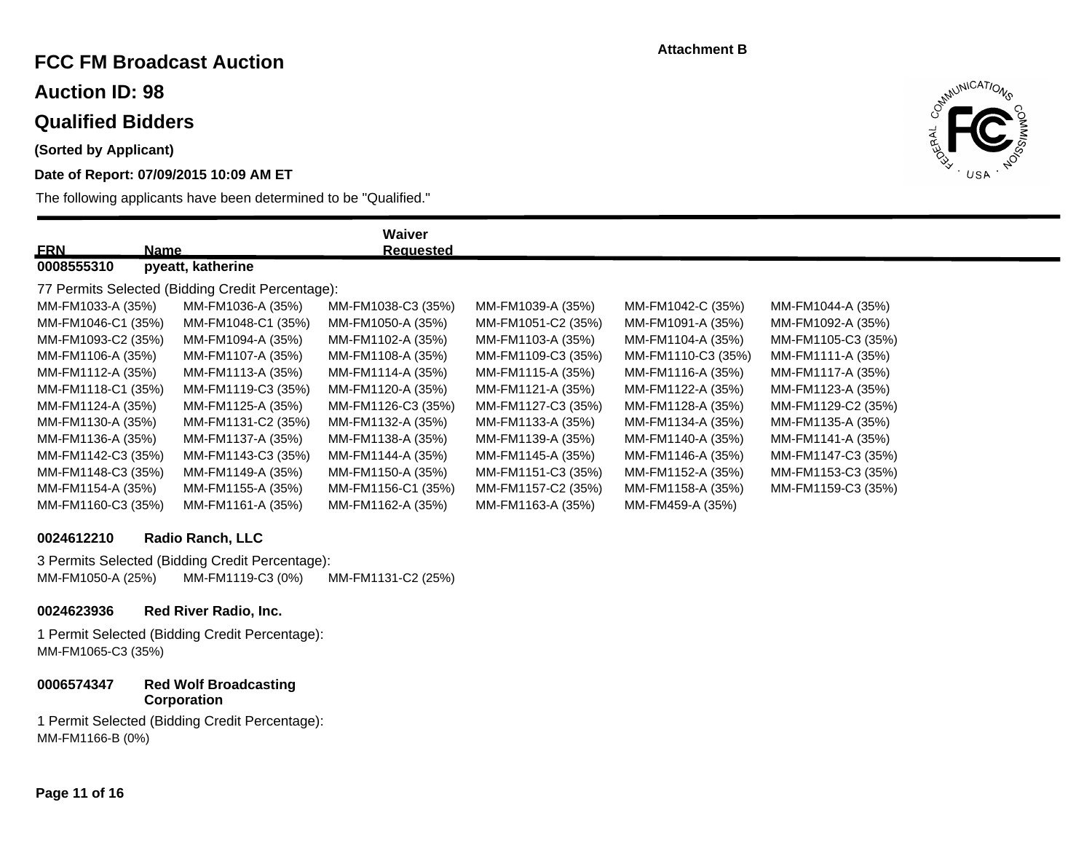# **FCC FM Broadcast Auction**

**Auction ID: 98**

### **Qualified Bidders**

**(Sorted by Applicant)**

### **Date of Report: 07/09/2015 10:09 AM ET**

The following applicants have been determined to be "Qualified."



| <b>ERN</b>         | Name                                             | Waiver<br><b>Requested</b> |                    |                    |                    |
|--------------------|--------------------------------------------------|----------------------------|--------------------|--------------------|--------------------|
| 0008555310         | pyeatt, katherine                                |                            |                    |                    |                    |
|                    | 77 Permits Selected (Bidding Credit Percentage): |                            |                    |                    |                    |
| MM-FM1033-A (35%)  | MM-FM1036-A (35%)                                | MM-FM1038-C3 (35%)         | MM-FM1039-A (35%)  | MM-FM1042-C (35%)  | MM-FM1044-A (35%)  |
| MM-FM1046-C1 (35%) | MM-FM1048-C1 (35%)                               | MM-FM1050-A (35%)          | MM-FM1051-C2 (35%) | MM-FM1091-A (35%)  | MM-FM1092-A (35%)  |
| MM-FM1093-C2 (35%) | MM-FM1094-A (35%)                                | MM-FM1102-A (35%)          | MM-FM1103-A (35%)  | MM-FM1104-A (35%)  | MM-FM1105-C3 (35%) |
| MM-FM1106-A (35%)  | MM-FM1107-A (35%)                                | MM-FM1108-A (35%)          | MM-FM1109-C3 (35%) | MM-FM1110-C3 (35%) | MM-FM1111-A (35%)  |
| MM-FM1112-A (35%)  | MM-FM1113-A (35%)                                | MM-FM1114-A (35%)          | MM-FM1115-A (35%)  | MM-FM1116-A (35%)  | MM-FM1117-A (35%)  |
| MM-FM1118-C1 (35%) | MM-FM1119-C3 (35%)                               | MM-FM1120-A (35%)          | MM-FM1121-A (35%)  | MM-FM1122-A (35%)  | MM-FM1123-A (35%)  |
| MM-FM1124-A (35%)  | MM-FM1125-A (35%)                                | MM-FM1126-C3 (35%)         | MM-FM1127-C3 (35%) | MM-FM1128-A (35%)  | MM-FM1129-C2 (35%) |
| MM-FM1130-A (35%)  | MM-FM1131-C2 (35%)                               | MM-FM1132-A (35%)          | MM-FM1133-A (35%)  | MM-FM1134-A (35%)  | MM-FM1135-A (35%)  |
| MM-FM1136-A (35%)  | MM-FM1137-A (35%)                                | MM-FM1138-A (35%)          | MM-FM1139-A (35%)  | MM-FM1140-A (35%)  | MM-FM1141-A (35%)  |
| MM-FM1142-C3 (35%) | MM-FM1143-C3 (35%)                               | MM-FM1144-A (35%)          | MM-FM1145-A (35%)  | MM-FM1146-A (35%)  | MM-FM1147-C3 (35%) |
| MM-FM1148-C3 (35%) | MM-FM1149-A (35%)                                | MM-FM1150-A (35%)          | MM-FM1151-C3 (35%) | MM-FM1152-A (35%)  | MM-FM1153-C3 (35%) |
| MM-FM1154-A (35%)  | MM-FM1155-A (35%)                                | MM-FM1156-C1 (35%)         | MM-FM1157-C2 (35%) | MM-FM1158-A (35%)  | MM-FM1159-C3 (35%) |
| MM-FM1160-C3 (35%) | MM-FM1161-A (35%)                                | MM-FM1162-A (35%)          | MM-FM1163-A (35%)  | MM-FM459-A (35%)   |                    |

#### **0024612210 Radio Ranch, LLC**

3 Permits Selected (Bidding Credit Percentage): MM-FM1050-A (25%) MM-FM1119-C3 (0%) MM-FM1131-C2 (25%)

#### **0024623936 Red River Radio, Inc.**

1 Permit Selected (Bidding Credit Percentage): MM-FM1065-C3 (35%)

#### **0006574347 Red Wolf Broadcasting Corporation**

1 Permit Selected (Bidding Credit Percentage): MM-FM1166-B (0%)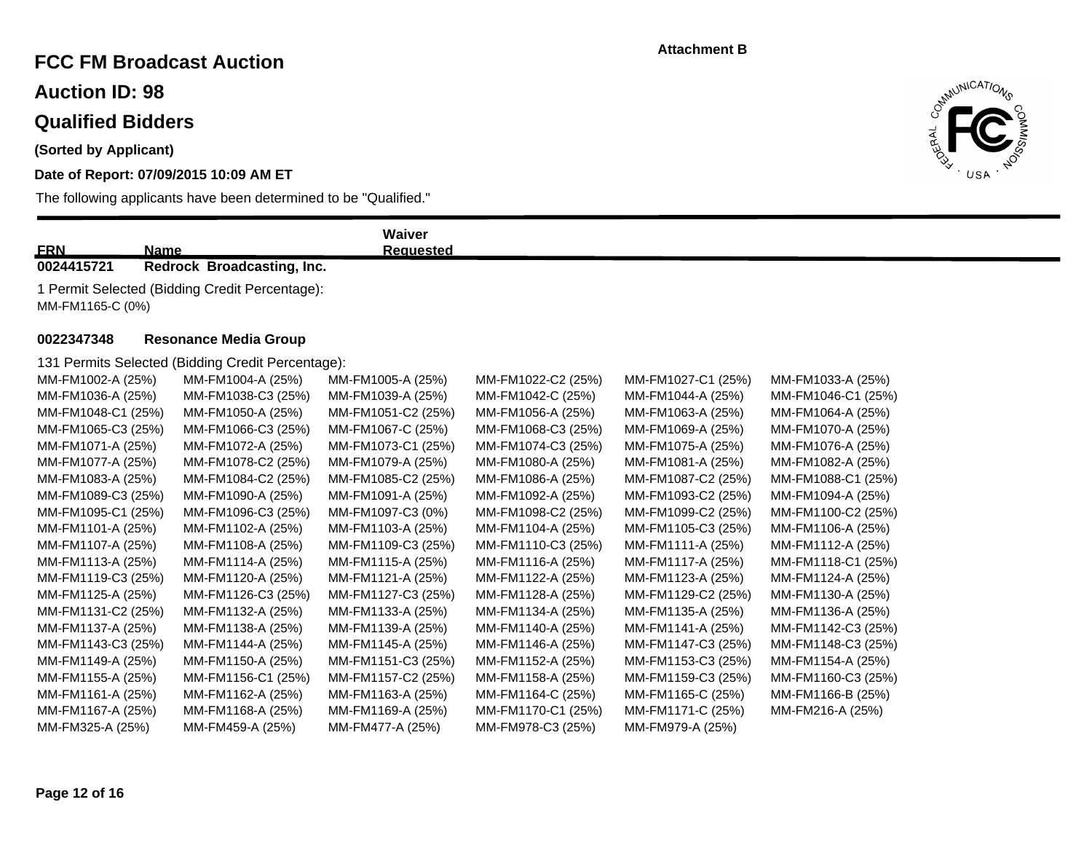# **FCC FM Broadcast Auction**

**Auction ID: 98**

# **Qualified Bidders**

**(Sorted by Applicant)**

### **Date of Report: 07/09/2015 10:09 AM ET**



| <b>FRN</b><br>Name                                                 |                                                   | Waiver<br><b>Requested</b> |                    |                    |                    |  |
|--------------------------------------------------------------------|---------------------------------------------------|----------------------------|--------------------|--------------------|--------------------|--|
| 0024415721                                                         | Redrock Broadcasting, Inc.                        |                            |                    |                    |                    |  |
| 1 Permit Selected (Bidding Credit Percentage):<br>MM-FM1165-C (0%) |                                                   |                            |                    |                    |                    |  |
| 0022347348                                                         | <b>Resonance Media Group</b>                      |                            |                    |                    |                    |  |
|                                                                    | 131 Permits Selected (Bidding Credit Percentage): |                            |                    |                    |                    |  |
| MM-FM1002-A (25%)                                                  | MM-FM1004-A (25%)                                 | MM-FM1005-A (25%)          | MM-FM1022-C2 (25%) | MM-FM1027-C1 (25%) | MM-FM1033-A (25%)  |  |
| MM-FM1036-A (25%)                                                  | MM-FM1038-C3 (25%)                                | MM-FM1039-A (25%)          | MM-FM1042-C (25%)  | MM-FM1044-A (25%)  | MM-FM1046-C1 (25%) |  |
| MM-FM1048-C1 (25%)                                                 | MM-FM1050-A (25%)                                 | MM-FM1051-C2 (25%)         | MM-FM1056-A (25%)  | MM-FM1063-A (25%)  | MM-FM1064-A (25%)  |  |
| MM-FM1065-C3 (25%)                                                 | MM-FM1066-C3 (25%)                                | MM-FM1067-C (25%)          | MM-FM1068-C3 (25%) | MM-FM1069-A (25%)  | MM-FM1070-A (25%)  |  |
| MM-FM1071-A (25%)                                                  | MM-FM1072-A (25%)                                 | MM-FM1073-C1 (25%)         | MM-FM1074-C3 (25%) | MM-FM1075-A (25%)  | MM-FM1076-A (25%)  |  |
| MM-FM1077-A (25%)                                                  | MM-FM1078-C2 (25%)                                | MM-FM1079-A (25%)          | MM-FM1080-A (25%)  | MM-FM1081-A (25%)  | MM-FM1082-A (25%)  |  |
| MM-FM1083-A (25%)                                                  | MM-FM1084-C2 (25%)                                | MM-FM1085-C2 (25%)         | MM-FM1086-A (25%)  | MM-FM1087-C2 (25%) | MM-FM1088-C1 (25%) |  |
| MM-FM1089-C3 (25%)                                                 | MM-FM1090-A (25%)                                 | MM-FM1091-A (25%)          | MM-FM1092-A (25%)  | MM-FM1093-C2 (25%) | MM-FM1094-A (25%)  |  |
| MM-FM1095-C1 (25%)                                                 | MM-FM1096-C3 (25%)                                | MM-FM1097-C3 (0%)          | MM-FM1098-C2 (25%) | MM-FM1099-C2 (25%) | MM-FM1100-C2 (25%) |  |
| MM-FM1101-A (25%)                                                  | MM-FM1102-A (25%)                                 | MM-FM1103-A (25%)          | MM-FM1104-A (25%)  | MM-FM1105-C3 (25%) | MM-FM1106-A (25%)  |  |
| MM-FM1107-A (25%)                                                  | MM-FM1108-A (25%)                                 | MM-FM1109-C3 (25%)         | MM-FM1110-C3 (25%) | MM-FM1111-A (25%)  | MM-FM1112-A (25%)  |  |
| MM-FM1113-A (25%)                                                  | MM-FM1114-A (25%)                                 | MM-FM1115-A (25%)          | MM-FM1116-A (25%)  | MM-FM1117-A (25%)  | MM-FM1118-C1 (25%) |  |
| MM-FM1119-C3 (25%)                                                 | MM-FM1120-A (25%)                                 | MM-FM1121-A (25%)          | MM-FM1122-A (25%)  | MM-FM1123-A (25%)  | MM-FM1124-A (25%)  |  |
| MM-FM1125-A (25%)                                                  | MM-FM1126-C3 (25%)                                | MM-FM1127-C3 (25%)         | MM-FM1128-A (25%)  | MM-FM1129-C2 (25%) | MM-FM1130-A (25%)  |  |
| MM-FM1131-C2 (25%)                                                 | MM-FM1132-A (25%)                                 | MM-FM1133-A (25%)          | MM-FM1134-A (25%)  | MM-FM1135-A (25%)  | MM-FM1136-A (25%)  |  |
| MM-FM1137-A (25%)                                                  | MM-FM1138-A (25%)                                 | MM-FM1139-A (25%)          | MM-FM1140-A (25%)  | MM-FM1141-A (25%)  | MM-FM1142-C3 (25%) |  |
| MM-FM1143-C3 (25%)                                                 | MM-FM1144-A (25%)                                 | MM-FM1145-A (25%)          | MM-FM1146-A (25%)  | MM-FM1147-C3 (25%) | MM-FM1148-C3 (25%) |  |
| MM-FM1149-A (25%)                                                  | MM-FM1150-A (25%)                                 | MM-FM1151-C3 (25%)         | MM-FM1152-A (25%)  | MM-FM1153-C3 (25%) | MM-FM1154-A (25%)  |  |
| MM-FM1155-A (25%)                                                  | MM-FM1156-C1 (25%)                                | MM-FM1157-C2 (25%)         | MM-FM1158-A (25%)  | MM-FM1159-C3 (25%) | MM-FM1160-C3 (25%) |  |
| MM-FM1161-A (25%)                                                  | MM-FM1162-A (25%)                                 | MM-FM1163-A (25%)          | MM-FM1164-C (25%)  | MM-FM1165-C (25%)  | MM-FM1166-B (25%)  |  |
| MM-FM1167-A (25%)                                                  | MM-FM1168-A (25%)                                 | MM-FM1169-A (25%)          | MM-FM1170-C1 (25%) | MM-FM1171-C (25%)  | MM-FM216-A (25%)   |  |
| MM-FM325-A (25%)                                                   | MM-FM459-A (25%)                                  | MM-FM477-A (25%)           | MM-FM978-C3 (25%)  | MM-FM979-A (25%)   |                    |  |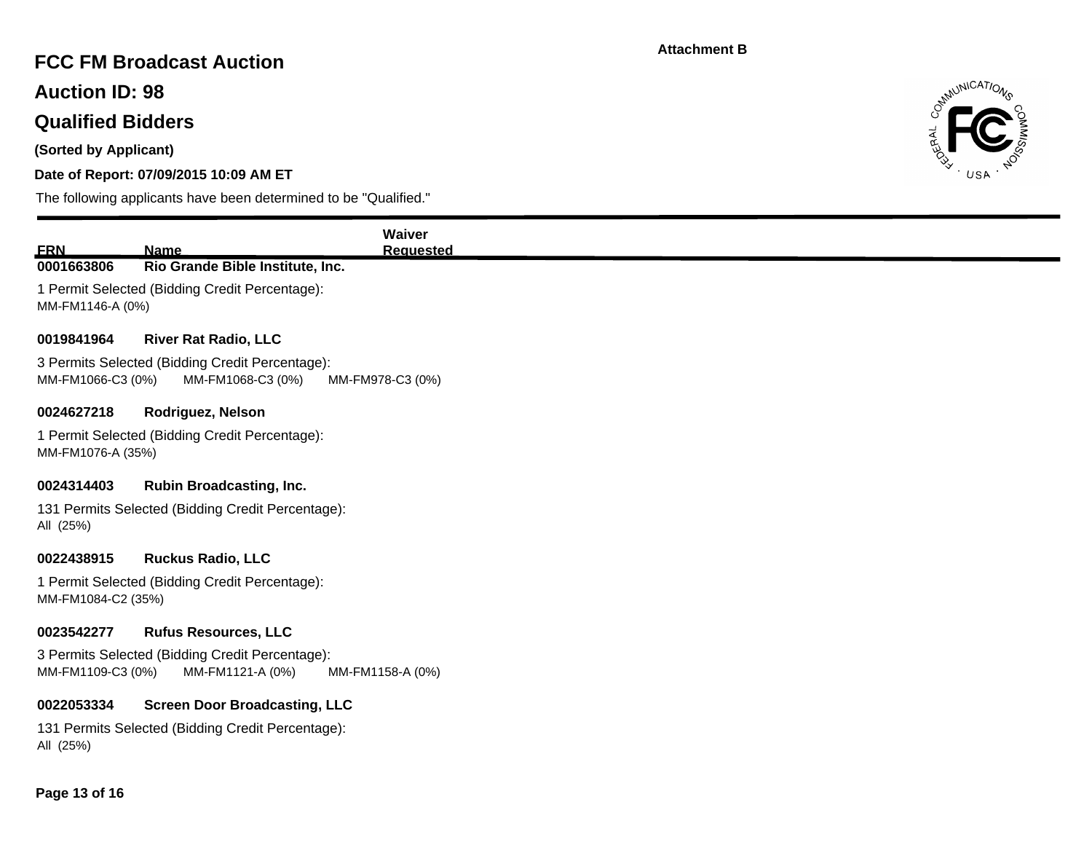# **FCC FM Broadcast Auction**

**Auction ID: 98**

# **Qualified Bidders**

**(Sorted by Applicant)**

### **Date of Report: 07/09/2015 10:09 AM ET**



| <b>Name</b>                                       | <b>Waiver</b><br><b>Requested</b>                                                                                                                                                                                                                                                                                                                                                                                                                              |
|---------------------------------------------------|----------------------------------------------------------------------------------------------------------------------------------------------------------------------------------------------------------------------------------------------------------------------------------------------------------------------------------------------------------------------------------------------------------------------------------------------------------------|
| Rio Grande Bible Institute, Inc.                  |                                                                                                                                                                                                                                                                                                                                                                                                                                                                |
|                                                   |                                                                                                                                                                                                                                                                                                                                                                                                                                                                |
| <b>River Rat Radio, LLC</b>                       |                                                                                                                                                                                                                                                                                                                                                                                                                                                                |
| MM-FM1068-C3 (0%)                                 | MM-FM978-C3 (0%)                                                                                                                                                                                                                                                                                                                                                                                                                                               |
| Rodriguez, Nelson                                 |                                                                                                                                                                                                                                                                                                                                                                                                                                                                |
|                                                   |                                                                                                                                                                                                                                                                                                                                                                                                                                                                |
| <b>Rubin Broadcasting, Inc.</b>                   |                                                                                                                                                                                                                                                                                                                                                                                                                                                                |
|                                                   |                                                                                                                                                                                                                                                                                                                                                                                                                                                                |
| <b>Ruckus Radio, LLC</b>                          |                                                                                                                                                                                                                                                                                                                                                                                                                                                                |
|                                                   |                                                                                                                                                                                                                                                                                                                                                                                                                                                                |
| <b>Rufus Resources, LLC</b>                       |                                                                                                                                                                                                                                                                                                                                                                                                                                                                |
| MM-FM1121-A (0%)                                  | MM-FM1158-A (0%)                                                                                                                                                                                                                                                                                                                                                                                                                                               |
|                                                   |                                                                                                                                                                                                                                                                                                                                                                                                                                                                |
| 131 Permits Selected (Bidding Credit Percentage): |                                                                                                                                                                                                                                                                                                                                                                                                                                                                |
|                                                   | 1 Permit Selected (Bidding Credit Percentage):<br>MM-FM1146-A (0%)<br>3 Permits Selected (Bidding Credit Percentage):<br>MM-FM1066-C3 (0%)<br>1 Permit Selected (Bidding Credit Percentage):<br>MM-FM1076-A (35%)<br>131 Permits Selected (Bidding Credit Percentage):<br>1 Permit Selected (Bidding Credit Percentage):<br>MM-FM1084-C2 (35%)<br>3 Permits Selected (Bidding Credit Percentage):<br>MM-FM1109-C3 (0%)<br><b>Screen Door Broadcasting, LLC</b> |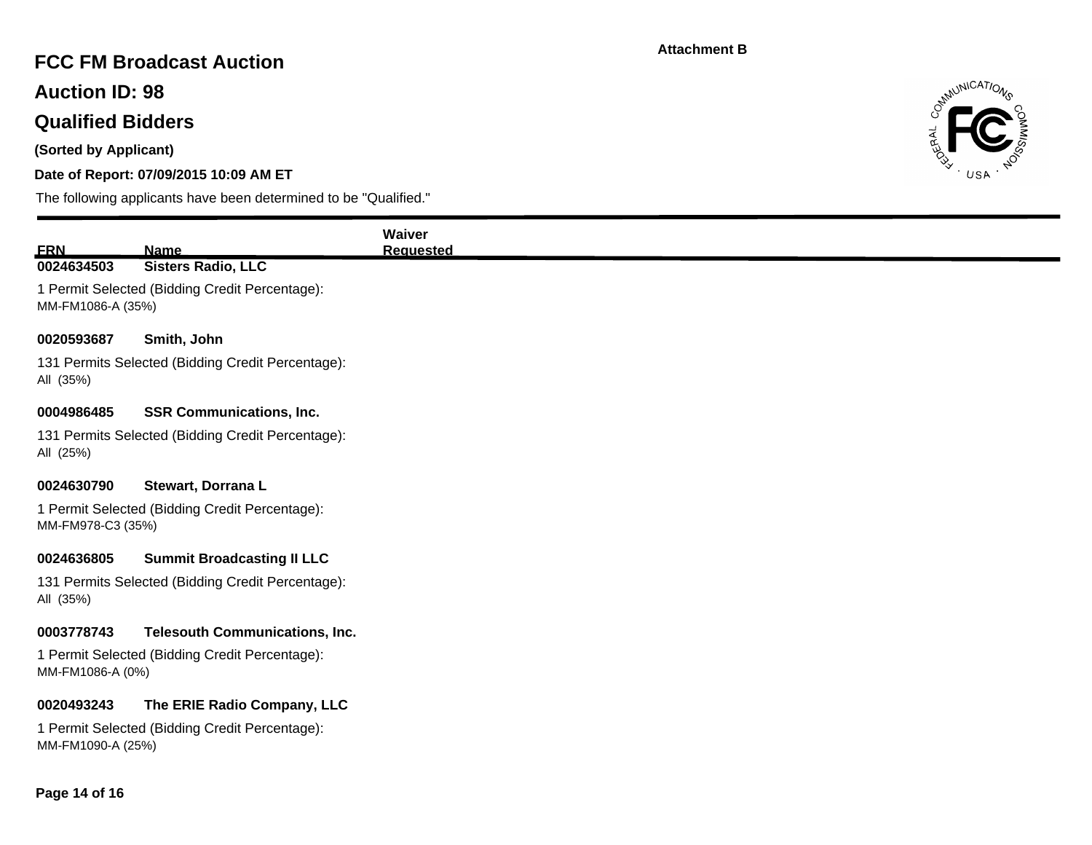# **FCC FM Broadcast Auction**

**Auction ID: 98**

# **Qualified Bidders**

**(Sorted by Applicant)**

### **Date of Report: 07/09/2015 10:09 AM ET**



| <b>FRN</b>        | Name                                              |
|-------------------|---------------------------------------------------|
| 0024634503        | <b>Sisters Radio, LLC</b>                         |
| MM-FM1086-A (35%) | 1 Permit Selected (Bidding Credit Percentage):    |
| 0020593687        | Smith, John                                       |
| All (35%)         | 131 Permits Selected (Bidding Credit Percentage): |
| 0004986485        | <b>SSR Communications, Inc.</b>                   |
| All (25%)         | 131 Permits Selected (Bidding Credit Percentage): |
| 0024630790        | Stewart, Dorrana L                                |
| MM-FM978-C3 (35%) | 1 Permit Selected (Bidding Credit Percentage):    |
| 0024636805        | <b>Summit Broadcasting II LLC</b>                 |
| All (35%)         | 131 Permits Selected (Bidding Credit Percentage): |
| 0003778743        | <b>Telesouth Communications, Inc.</b>             |
| MM-FM1086-A (0%)  | 1 Permit Selected (Bidding Credit Percentage):    |
| 0020493243        | The ERIE Radio Company, LLC                       |
| MM-FM1090-A (25%) | 1 Permit Selected (Bidding Credit Percentage):    |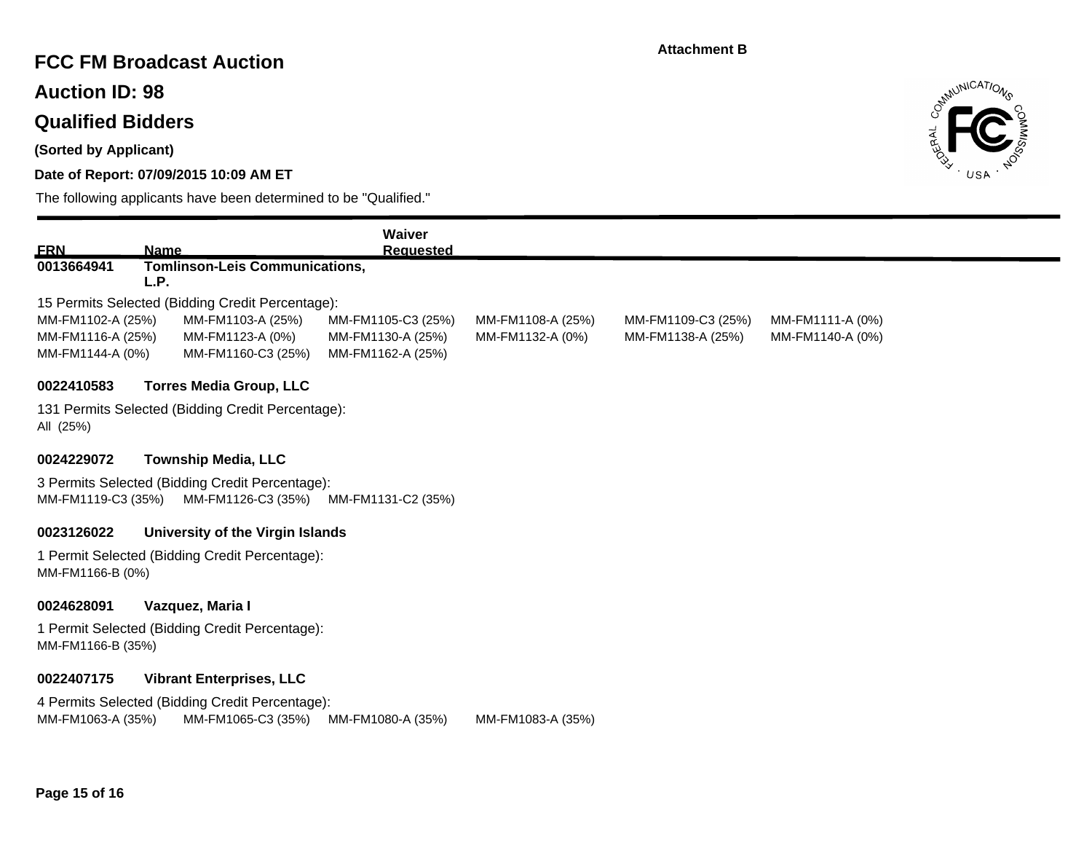# **FCC FM Broadcast Auction**

**Auction ID: 98**

# **Qualified Bidders**

**(Sorted by Applicant)**

### **Date of Report: 07/09/2015 10:09 AM ET**



| <b>ERN</b>         |                                                   | Waiver             |                   |                    |                  |
|--------------------|---------------------------------------------------|--------------------|-------------------|--------------------|------------------|
| 0013664941         | Name<br><b>Tomlinson-Leis Communications,</b>     | <b>Requested</b>   |                   |                    |                  |
|                    | L.P.                                              |                    |                   |                    |                  |
|                    | 15 Permits Selected (Bidding Credit Percentage):  |                    |                   |                    |                  |
| MM-FM1102-A (25%)  | MM-FM1103-A (25%)                                 | MM-FM1105-C3 (25%) | MM-FM1108-A (25%) | MM-FM1109-C3 (25%) | MM-FM1111-A (0%) |
| MM-FM1116-A (25%)  | MM-FM1123-A (0%)                                  | MM-FM1130-A (25%)  | MM-FM1132-A (0%)  | MM-FM1138-A (25%)  | MM-FM1140-A (0%) |
| MM-FM1144-A (0%)   | MM-FM1160-C3 (25%)                                | MM-FM1162-A (25%)  |                   |                    |                  |
| 0022410583         | <b>Torres Media Group, LLC</b>                    |                    |                   |                    |                  |
| All (25%)          | 131 Permits Selected (Bidding Credit Percentage): |                    |                   |                    |                  |
| 0024229072         | <b>Township Media, LLC</b>                        |                    |                   |                    |                  |
|                    | 3 Permits Selected (Bidding Credit Percentage):   |                    |                   |                    |                  |
| MM-FM1119-C3 (35%) | MM-FM1126-C3 (35%)                                | MM-FM1131-C2 (35%) |                   |                    |                  |
| 0023126022         | University of the Virgin Islands                  |                    |                   |                    |                  |
|                    | 1 Permit Selected (Bidding Credit Percentage):    |                    |                   |                    |                  |
| MM-FM1166-B (0%)   |                                                   |                    |                   |                    |                  |
| 0024628091         | Vazquez, Maria I                                  |                    |                   |                    |                  |
|                    | 1 Permit Selected (Bidding Credit Percentage):    |                    |                   |                    |                  |
| MM-FM1166-B (35%)  |                                                   |                    |                   |                    |                  |
| 0022407175         | <b>Vibrant Enterprises, LLC</b>                   |                    |                   |                    |                  |
|                    | 4 Permits Selected (Bidding Credit Percentage):   |                    |                   |                    |                  |
| MM-FM1063-A (35%)  | MM-FM1065-C3 (35%)                                | MM-FM1080-A (35%)  | MM-FM1083-A (35%) |                    |                  |